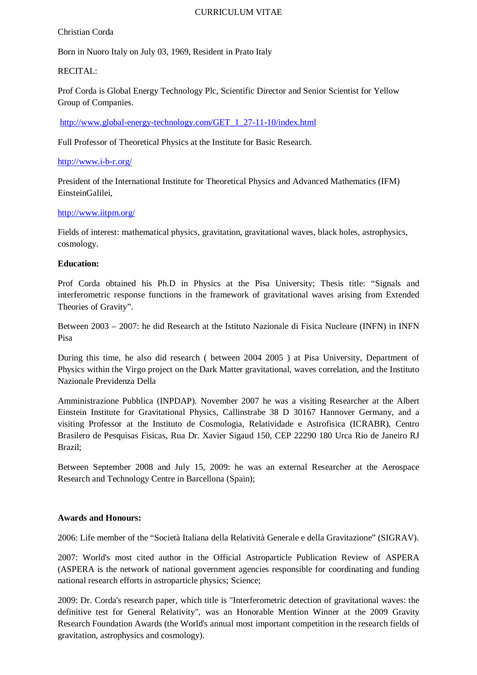#### CURRICULUM VITAE

# Christian Corda

Born in Nuoro Italy on July 03, 1969, Resident in Prato Italy

# RECITAL:

Prof Corda is Global Energy Technology Plc, Scientific Director and Senior Scientist for Yellow Group of Companies.

http://www.global-energy-technology.com/GET\_1\_27-11-10/index.html

Full Professor of Theoretical Physics at the Institute for Basic Research.

# http://www.i-b-r.org/

President of the International Institute for Theoretical Physics and Advanced Mathematics (IFM) EinsteinGalilei,

## http://www.iitpm.org/

Fields of interest: mathematical physics, gravitation, gravitational waves, black holes, astrophysics, cosmology.

## **Education:**

Prof Corda obtained his Ph.D in Physics at the Pisa University; Thesis title: "Signals and interferometric response functions in the framework of gravitational waves arising from Extended Theories of Gravity".

Between 2003 – 2007: he did Research at the Istituto Nazionale di Fisica Nucleare (INFN) in INFN Pisa

During this time, he also did research ( between 2004 2005 ) at Pisa University, Department of Physics within the Virgo project on the Dark Matter gravitational, waves correlation, and the Instituto Nazionale Previdenza Della

Amministrazione Pubblica (INPDAP). November 2007 he was a visiting Researcher at the Albert Einstein Institute for Gravitational Physics, Callinstrabe 38 D 30167 Hannover Germany, and a visiting Professor at the Instituto de Cosmologia, Relatividade e Astrofisica (ICRABR), Centro Brasilero de Pesquisas Fisicas, Rua Dr. Xavier Sigaud 150, CEP 22290 180 Urca Rio de Janeiro RJ Brazil;

Between September 2008 and July 15, 2009: he was an external Researcher at the Aerospace Research and Technology Centre in Barcellona (Spain);

## **Awards and Honours:**

2006: Life member of the "Società Italiana della Relatività Generale e della Gravitazione" (SIGRAV).

2007: World's most cited author in the Official Astroparticle Publication Review of ASPERA (ASPERA is the network of national government agencies responsible for coordinating and funding national research efforts in astroparticle physics; Science;

2009: Dr. Corda's research paper, which title is "Interferometric detection of gravitational waves: the definitive test for General Relativity", was an Honorable Mention Winner at the 2009 Gravity Research Foundation Awards (the World's annual most important competition in the research fields of gravitation, astrophysics and cosmology).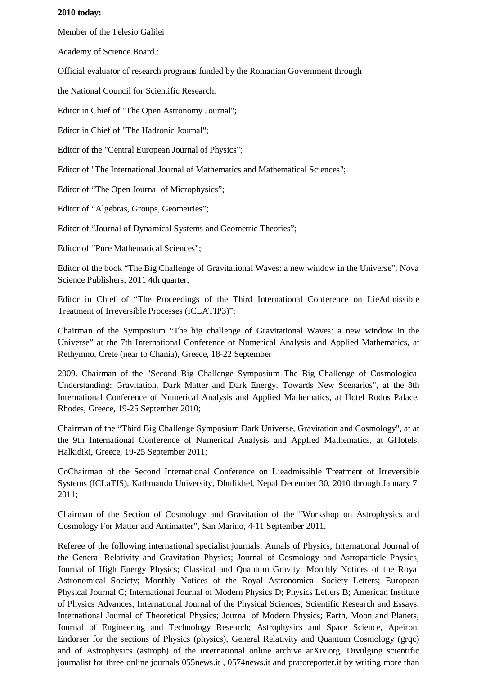#### **2010 today:**

Member of the Telesio Galilei

Academy of Science Board.:

Official evaluator of research programs funded by the Romanian Government through

the National Council for Scientific Research.

Editor in Chief of "The Open Astronomy Journal";

Editor in Chief of "The Hadronic Journal";

Editor of the "Central European Journal of Physics";

Editor of "The International Journal of Mathematics and Mathematical Sciences";

Editor of "The Open Journal of Microphysics";

Editor of "Algebras, Groups, Geometries";

Editor of "Journal of Dynamical Systems and Geometric Theories";

Editor of "Pure Mathematical Sciences";

Editor of the book "The Big Challenge of Gravitational Waves: a new window in the Universe", Nova Science Publishers, 2011 4th quarter;

Editor in Chief of "The Proceedings of the Third International Conference on LieAdmissible Treatment of Irreversible Processes (ICLATIP3)";

Chairman of the Symposium "The big challenge of Gravitational Waves: a new window in the Universe" at the 7th International Conference of Numerical Analysis and Applied Mathematics, at Rethymno, Crete (near to Chania), Greece, 18-22 September

2009. Chairman of the "Second Big Challenge Symposium The Big Challenge of Cosmological Understanding: Gravitation, Dark Matter and Dark Energy. Towards New Scenarios", at the 8th International Conference of Numerical Analysis and Applied Mathematics, at Hotel Rodos Palace, Rhodes, Greece, 19-25 September 2010;

Chairman of the "Third Big Challenge Symposium Dark Universe, Gravitation and Cosmology", at at the 9th International Conference of Numerical Analysis and Applied Mathematics, at GHotels, Halkidiki, Greece, 19-25 September 2011;

CoChairman of the Second International Conference on Lieadmissible Treatment of Irreversible Systems (ICLaTIS), Kathmandu University, Dhulikhel, Nepal December 30, 2010 through January 7, 2011;

Chairman of the Section of Cosmology and Gravitation of the "Workshop on Astrophysics and Cosmology For Matter and Antimatter", San Marino, 4-11 September 2011.

Referee of the following international specialist journals: Annals of Physics; International Journal of the General Relativity and Gravitation Physics; Journal of Cosmology and Astroparticle Physics; Journal of High Energy Physics; Classical and Quantum Gravity; Monthly Notices of the Royal Astronomical Society; Monthly Notices of the Royal Astronomical Society Letters; European Physical Journal C; International Journal of Modern Physics D; Physics Letters B; American Institute of Physics Advances; International Journal of the Physical Sciences; Scientific Research and Essays; International Journal of Theoretical Physics; Journal of Modern Physics; Earth, Moon and Planets; Journal of Engineering and Technology Research; Astrophysics and Space Science, Apeiron. Endorser for the sections of Physics (physics), General Relativity and Quantum Cosmology (grqc) and of Astrophysics (astroph) of the international online archive arXiv.org. Divulging scientific journalist for three online journals 055news.it , 0574news.it and pratoreporter.it by writing more than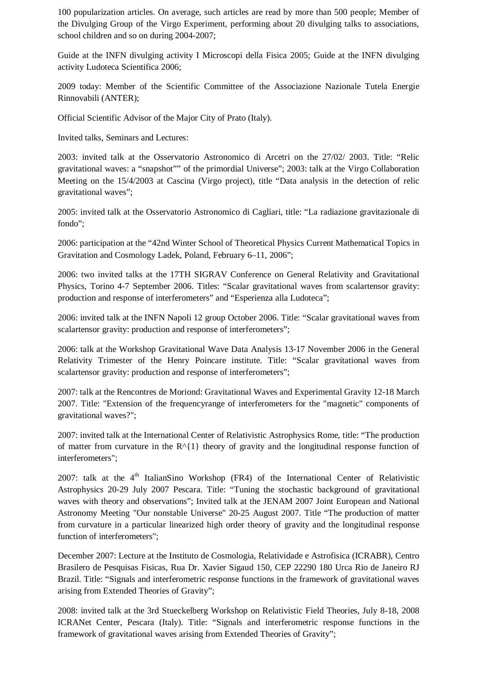100 popularization articles. On average, such articles are read by more than 500 people; Member of the Divulging Group of the Virgo Experiment, performing about 20 divulging talks to associations, school children and so on during 2004-2007;

Guide at the INFN divulging activity I Microscopi della Fisica 2005; Guide at the INFN divulging activity Ludoteca Scientifica 2006;

2009 today: Member of the Scientific Committee of the Associazione Nazionale Tutela Energie Rinnovabili (ANTER);

Official Scientific Advisor of the Major City of Prato (Italy).

Invited talks, Seminars and Lectures:

2003: invited talk at the Osservatorio Astronomico di Arcetri on the 27/02/ 2003. Title: "Relic gravitational waves: a "snapshot"" of the primordial Universe"; 2003: talk at the Virgo Collaboration Meeting on the 15/4/2003 at Cascina (Virgo project), title "Data analysis in the detection of relic gravitational waves";

2005: invited talk at the Osservatorio Astronomico di Cagliari, title: "La radiazione gravitazionale di fondo";

2006: participation at the "42nd Winter School of Theoretical Physics Current Mathematical Topics in Gravitation and Cosmology Ladek, Poland, February 6–11, 2006";

2006: two invited talks at the 17TH SIGRAV Conference on General Relativity and Gravitational Physics, Torino 4-7 September 2006. Titles: "Scalar gravitational waves from scalartensor gravity: production and response of interferometers" and "Esperienza alla Ludoteca";

2006: invited talk at the INFN Napoli 12 group October 2006. Title: "Scalar gravitational waves from scalartensor gravity: production and response of interferometers";

2006: talk at the Workshop Gravitational Wave Data Analysis 13-17 November 2006 in the General Relativity Trimester of the Henry Poincare institute. Title: "Scalar gravitational waves from scalartensor gravity: production and response of interferometers";

2007: talk at the Rencontres de Moriond: Gravitational Waves and Experimental Gravity 12-18 March 2007. Title: "Extension of the frequencyrange of interferometers for the "magnetic" components of gravitational waves?";

2007: invited talk at the International Center of Relativistic Astrophysics Rome, title: "The production of matter from curvature in the  $R^{\wedge}{1}$  theory of gravity and the longitudinal response function of interferometers";

2007: talk at the  $4<sup>th</sup>$  ItalianSino Workshop (FR4) of the International Center of Relativistic Astrophysics 20-29 July 2007 Pescara. Title: "Tuning the stochastic background of gravitational waves with theory and observations"; Invited talk at the JENAM 2007 Joint European and National Astronomy Meeting "Our nonstable Universe" 20-25 August 2007. Title "The production of matter from curvature in a particular linearized high order theory of gravity and the longitudinal response function of interferometers";

December 2007: Lecture at the Instituto de Cosmologia, Relatividade e Astrofisica (ICRABR), Centro Brasilero de Pesquisas Fisicas, Rua Dr. Xavier Sigaud 150, CEP 22290 180 Urca Rio de Janeiro RJ Brazil. Title: "Signals and interferometric response functions in the framework of gravitational waves arising from Extended Theories of Gravity";

2008: invited talk at the 3rd Stueckelberg Workshop on Relativistic Field Theories, July 8-18, 2008 ICRANet Center, Pescara (Italy). Title: "Signals and interferometric response functions in the framework of gravitational waves arising from Extended Theories of Gravity";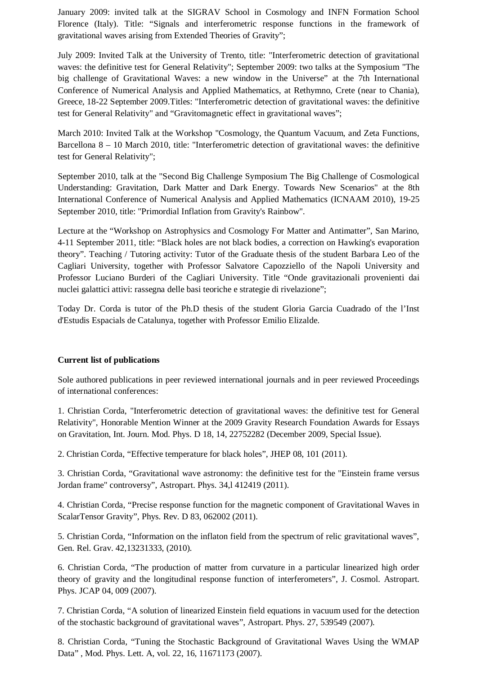January 2009: invited talk at the SIGRAV School in Cosmology and INFN Formation School Florence (Italy). Title: "Signals and interferometric response functions in the framework of gravitational waves arising from Extended Theories of Gravity";

July 2009: Invited Talk at the University of Trento, title: "Interferometric detection of gravitational waves: the definitive test for General Relativity"; September 2009: two talks at the Symposium "The big challenge of Gravitational Waves: a new window in the Universe" at the 7th International Conference of Numerical Analysis and Applied Mathematics, at Rethymno, Crete (near to Chania), Greece, 18-22 September 2009.Titles: "Interferometric detection of gravitational waves: the definitive test for General Relativity" and "Gravitomagnetic effect in gravitational waves";

March 2010: Invited Talk at the Workshop "Cosmology, the Quantum Vacuum, and Zeta Functions, Barcellona 8 – 10 March 2010, title: "Interferometric detection of gravitational waves: the definitive test for General Relativity";

September 2010, talk at the "Second Big Challenge Symposium The Big Challenge of Cosmological Understanding: Gravitation, Dark Matter and Dark Energy. Towards New Scenarios" at the 8th International Conference of Numerical Analysis and Applied Mathematics (ICNAAM 2010), 19-25 September 2010, title: "Primordial Inflation from Gravity's Rainbow".

Lecture at the "Workshop on Astrophysics and Cosmology For Matter and Antimatter", San Marino, 4-11 September 2011, title: "Black holes are not black bodies, a correction on Hawking's evaporation theory". Teaching / Tutoring activity: Tutor of the Graduate thesis of the student Barbara Leo of the Cagliari University, together with Professor Salvatore Capozziello of the Napoli University and Professor Luciano Burderi of the Cagliari University. Title "Onde gravitazionali provenienti dai nuclei galattici attivi: rassegna delle basi teoriche e strategie di rivelazione";

Today Dr. Corda is tutor of the Ph.D thesis of the student Gloria Garcia Cuadrado of the l'Inst d'Estudis Espacials de Catalunya, together with Professor Emilio Elizalde.

## **Current list of publications**

Sole authored publications in peer reviewed international journals and in peer reviewed Proceedings of international conferences:

1. Christian Corda, "Interferometric detection of gravitational waves: the definitive test for General Relativity", Honorable Mention Winner at the 2009 Gravity Research Foundation Awards for Essays on Gravitation, Int. Journ. Mod. Phys. D 18, 14, 22752282 (December 2009, Special Issue).

2. Christian Corda, "Effective temperature for black holes", JHEP 08, 101 (2011).

3. Christian Corda, "Gravitational wave astronomy: the definitive test for the "Einstein frame versus Jordan frame" controversy", Astropart. Phys. 34,l 412419 (2011).

4. Christian Corda, "Precise response function for the magnetic component of Gravitational Waves in ScalarTensor Gravity", Phys. Rev. D 83, 062002 (2011).

5. Christian Corda, "Information on the inflaton field from the spectrum of relic gravitational waves", Gen. Rel. Grav. 42,13231333, (2010).

6. Christian Corda, "The production of matter from curvature in a particular linearized high order theory of gravity and the longitudinal response function of interferometers", J. Cosmol. Astropart. Phys. JCAP 04, 009 (2007).

7. Christian Corda, "A solution of linearized Einstein field equations in vacuum used for the detection of the stochastic background of gravitational waves", Astropart. Phys. 27, 539549 (2007).

8. Christian Corda, "Tuning the Stochastic Background of Gravitational Waves Using the WMAP Data" , Mod. Phys. Lett. A, vol. 22, 16, 11671173 (2007).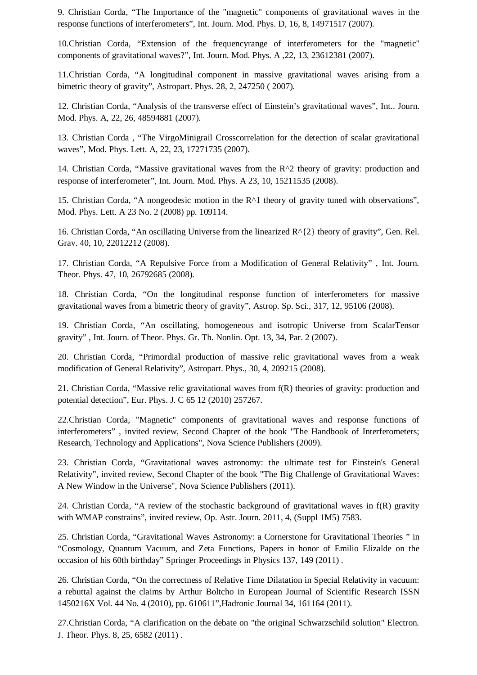9. Christian Corda, "The Importance of the ''magnetic'' components of gravitational waves in the response functions of interferometers", Int. Journ. Mod. Phys. D, 16, 8, 14971517 (2007).

10.Christian Corda, "Extension of the frequencyrange of interferometers for the ''magnetic'' components of gravitational waves?", Int. Journ. Mod. Phys. A ,22, 13, 23612381 (2007).

11.Christian Corda, "A longitudinal component in massive gravitational waves arising from a bimetric theory of gravity", Astropart. Phys. 28, 2, 247250 ( 2007).

12. Christian Corda, "Analysis of the transverse effect of Einstein's gravitational waves", Int.. Journ. Mod. Phys. A, 22, 26, 48594881 (2007).

13. Christian Corda , "The VirgoMinigrail Crosscorrelation for the detection of scalar gravitational waves", Mod. Phys. Lett. A, 22, 23, 17271735 (2007).

14. Christian Corda, "Massive gravitational waves from the R^2 theory of gravity: production and response of interferometer", Int. Journ. Mod. Phys. A 23, 10, 15211535 (2008).

15. Christian Corda, "A nongeodesic motion in the R^1 theory of gravity tuned with observations", Mod. Phys. Lett. A 23 No. 2 (2008) pp. 109114.

16. Christian Corda, "An oscillating Universe from the linearized R^{2} theory of gravity", Gen. Rel. Grav. 40, 10, 22012212 (2008).

17. Christian Corda, "A Repulsive Force from a Modification of General Relativity" , Int. Journ. Theor. Phys. 47, 10, 26792685 (2008).

18. Christian Corda, "On the longitudinal response function of interferometers for massive gravitational waves from a bimetric theory of gravity", Astrop. Sp. Sci., 317, 12, 95106 (2008).

19. Christian Corda, "An oscillating, homogeneous and isotropic Universe from ScalarTensor gravity" , Int. Journ. of Theor. Phys. Gr. Th. Nonlin. Opt. 13, 34, Par. 2 (2007).

20. Christian Corda, "Primordial production of massive relic gravitational waves from a weak modification of General Relativity", Astropart. Phys., 30, 4, 209215 (2008).

21. Christian Corda, "Massive relic gravitational waves from f(R) theories of gravity: production and potential detection", Eur. Phys. J. C 65 12 (2010) 257267.

22.Christian Corda, "Magnetic'' components of gravitational waves and response functions of interferometers" , invited review, Second Chapter of the book "The Handbook of Interferometers; Research, Technology and Applications", Nova Science Publishers (2009).

23. Christian Corda, "Gravitational waves astronomy: the ultimate test for Einstein's General Relativity", invited review, Second Chapter of the book "The Big Challenge of Gravitational Waves: A New Window in the Universe", Nova Science Publishers (2011).

24. Christian Corda, "A review of the stochastic background of gravitational waves in  $f(R)$  gravity with WMAP constrains", invited review, Op. Astr. Journ. 2011, 4, (Suppl 1M5) 7583.

25. Christian Corda, "Gravitational Waves Astronomy: a Cornerstone for Gravitational Theories " in "Cosmology, Quantum Vacuum, and Zeta Functions, Papers in honor of Emilio Elizalde on the occasion of his 60th birthday" Springer Proceedings in Physics 137, 149 (2011) .

26. Christian Corda, "On the correctness of Relative Time Dilatation in Special Relativity in vacuum: a rebuttal against the claims by Arthur Boltcho in European Journal of Scientific Research ISSN 1450216X Vol. 44 No. 4 (2010), pp. 610611",Hadronic Journal 34, 161164 (2011).

27.Christian Corda, "A clarification on the debate on "the original Schwarzschild solution" Electron. J. Theor. Phys. 8, 25, 6582 (2011) .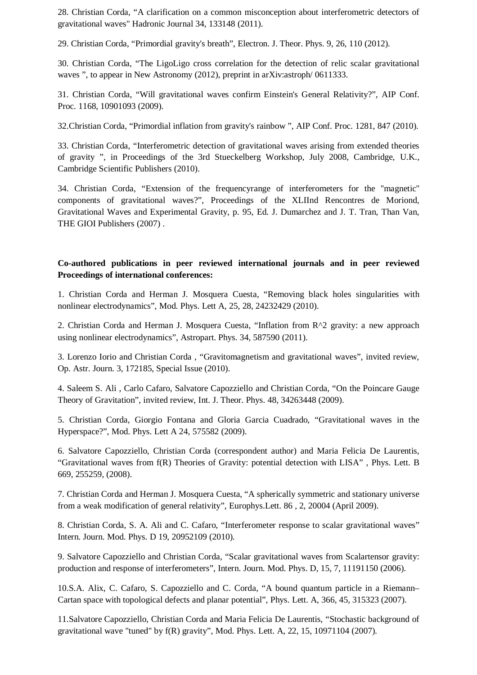28. Christian Corda, "A clarification on a common misconception about interferometric detectors of gravitational waves" Hadronic Journal 34, 133148 (2011).

29. Christian Corda, "Primordial gravity's breath", Electron. J. Theor. Phys. 9, 26, 110 (2012).

30. Christian Corda, "The LigoLigo cross correlation for the detection of relic scalar gravitational waves ", to appear in New Astronomy (2012), preprint in arXiv:astroph/ 0611333.

31. Christian Corda, "Will gravitational waves confirm Einstein's General Relativity?", AIP Conf. Proc. 1168, 10901093 (2009).

32.Christian Corda, "Primordial inflation from gravity's rainbow ", AIP Conf. Proc. 1281, 847 (2010).

33. Christian Corda, "Interferometric detection of gravitational waves arising from extended theories of gravity ", in Proceedings of the 3rd Stueckelberg Workshop, July 2008, Cambridge, U.K., Cambridge Scientific Publishers (2010).

34. Christian Corda, "Extension of the frequencyrange of interferometers for the ''magnetic'' components of gravitational waves?", Proceedings of the XLIInd Rencontres de Moriond, Gravitational Waves and Experimental Gravity, p. 95, Ed. J. Dumarchez and J. T. Tran, Than Van, THE GIOI Publishers (2007) .

# **Co-authored publications in peer reviewed international journals and in peer reviewed Proceedings of international conferences:**

1. Christian Corda and Herman J. Mosquera Cuesta, "Removing black holes singularities with nonlinear electrodynamics", Mod. Phys. Lett A, 25, 28, 24232429 (2010).

2. Christian Corda and Herman J. Mosquera Cuesta, "Inflation from R^2 gravity: a new approach using nonlinear electrodynamics", Astropart. Phys. 34, 587590 (2011).

3. Lorenzo Iorio and Christian Corda , "Gravitomagnetism and gravitational waves", invited review, Op. Astr. Journ. 3, 172185, Special Issue (2010).

4. Saleem S. Ali , Carlo Cafaro, Salvatore Capozziello and Christian Corda, "On the Poincare Gauge Theory of Gravitation", invited review, Int. J. Theor. Phys. 48, 34263448 (2009).

5. Christian Corda, Giorgio Fontana and Gloria Garcia Cuadrado, "Gravitational waves in the Hyperspace?", Mod. Phys. Lett A 24, 575582 (2009).

6. Salvatore Capozziello, Christian Corda (correspondent author) and Maria Felicia De Laurentis, "Gravitational waves from f(R) Theories of Gravity: potential detection with LISA" , Phys. Lett. B 669, 255259, (2008).

7. Christian Corda and Herman J. Mosquera Cuesta, "A spherically symmetric and stationary universe from a weak modification of general relativity", Europhys.Lett. 86 , 2, 20004 (April 2009).

8. Christian Corda, S. A. Ali and C. Cafaro, "Interferometer response to scalar gravitational waves" Intern. Journ. Mod. Phys. D 19, 20952109 (2010).

9. Salvatore Capozziello and Christian Corda, "Scalar gravitational waves from Scalartensor gravity: production and response of interferometers", Intern. Journ. Mod. Phys. D, 15, 7, 11191150 (2006).

10.S.A. Alix, C. Cafaro, S. Capozziello and C. Corda, "A bound quantum particle in a Riemann– Cartan space with topological defects and planar potential", Phys. Lett. A, 366, 45, 315323 (2007).

11.Salvatore Capozziello, Christian Corda and Maria Felicia De Laurentis, "Stochastic background of gravitational wave "tuned" by f(R) gravity", Mod. Phys. Lett. A, 22, 15, 10971104 (2007).